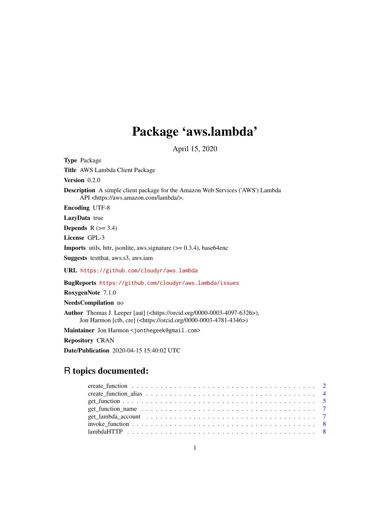# Package 'aws.lambda'

April 15, 2020

<span id="page-0-0"></span>Type Package Title AWS Lambda Client Package Version 0.2.0 Description A simple client package for the Amazon Web Services ('AWS') Lambda API <https://aws.amazon.com/lambda/>. Encoding UTF-8 LazyData true Depends  $R$  ( $>= 3.4$ ) License GPL-3 **Imports** utils, httr, jsonlite, aws.signature  $(>= 0.3.4)$ , base64enc Suggests testthat, aws.s3, aws.iam URL <https://github.com/cloudyr/aws.lambda> BugReports <https://github.com/cloudyr/aws.lambda/issues> RoxygenNote 7.1.0 NeedsCompilation no

Author Thomas J. Leeper [aut] (<https://orcid.org/0000-0003-4097-6326>), Jon Harmon [ctb, cre] (<https://orcid.org/0000-0003-4781-4346>)

Maintainer Jon Harmon <jonthegeek@gmail.com>

Repository CRAN

Date/Publication 2020-04-15 15:40:02 UTC

# R topics documented: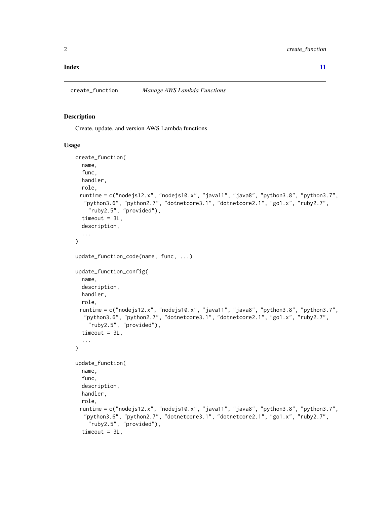#### <span id="page-1-0"></span>**Index** [11](#page-10-0)

<span id="page-1-1"></span>create\_function *Manage AWS Lambda Functions*

# <span id="page-1-2"></span>Description

Create, update, and version AWS Lambda functions

#### Usage

```
create_function(
  name,
  func,
 handler,
  role,
 runtime = c("nodejs12.x", "nodejs10.x", "java11", "java8", "python3.8", "python3.7",
   "python3.6", "python2.7", "dotnetcore3.1", "dotnetcore2.1", "go1.x", "ruby2.7",
    "ruby2.5", "provided"),
  timeout = 3L,
  description,
  ...
)
update_function_code(name, func, ...)
update_function_config(
  name,
  description,
 handler,
  role,
 runtime = c("nodejs12.x", "nodejs10.x", "java11", "java8", "python3.8", "python3.7",
   "python3.6", "python2.7", "dotnetcore3.1", "dotnetcore2.1", "go1.x", "ruby2.7",
    "ruby2.5", "provided"),
  timeout = 3L,
  ...
\lambdaupdate_function(
  name,
  func,
  description,
 handler,
  role,
 runtime = c("nodejs12.x", "nodejs10.x", "java11", "java8", "python3.8", "python3.7",
   "python3.6", "python2.7", "dotnetcore3.1", "dotnetcore2.1", "go1.x", "ruby2.7",
    "ruby2.5", "provided"),
  timeout = 3L,
```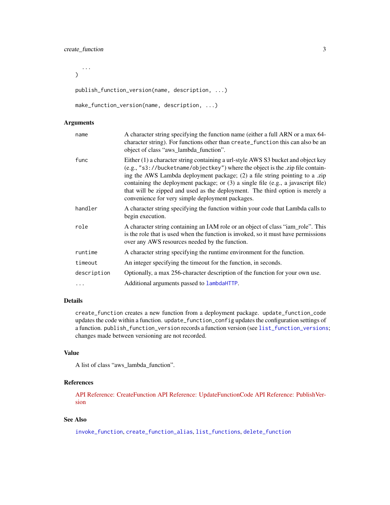<span id="page-2-0"></span>...  $\lambda$ 

publish\_function\_version(name, description, ...)

```
make_function_version(name, description, ...)
```
# Arguments

| name        | A character string specifying the function name (either a full ARN or a max 64-<br>character string). For functions other than create_function this can also be an<br>object of class "aws_lambda_function".                                                                                                                                                                                                                                                                |
|-------------|-----------------------------------------------------------------------------------------------------------------------------------------------------------------------------------------------------------------------------------------------------------------------------------------------------------------------------------------------------------------------------------------------------------------------------------------------------------------------------|
| func        | Either (1) a character string containing a url-style AWS S3 bucket and object key<br>(e.g., "s3://bucketname/objectkey") where the object is the .zip file contain-<br>ing the AWS Lambda deployment package; (2) a file string pointing to a .zip<br>containing the deployment package; or (3) a single file (e.g., a javascript file)<br>that will be zipped and used as the deployment. The third option is merely a<br>convenience for very simple deployment packages. |
| handler     | A character string specifying the function within your code that Lambda calls to<br>begin execution.                                                                                                                                                                                                                                                                                                                                                                        |
| role        | A character string containing an IAM role or an object of class "iam_role". This<br>is the role that is used when the function is invoked, so it must have permissions<br>over any AWS resources needed by the function.                                                                                                                                                                                                                                                    |
| runtime     | A character string specifying the runtime environment for the function.                                                                                                                                                                                                                                                                                                                                                                                                     |
| timeout     | An integer specifying the timeout for the function, in seconds.                                                                                                                                                                                                                                                                                                                                                                                                             |
| description | Optionally, a max 256-character description of the function for your own use.                                                                                                                                                                                                                                                                                                                                                                                               |
|             | Additional arguments passed to lambdaHTTP.                                                                                                                                                                                                                                                                                                                                                                                                                                  |

# Details

create\_function creates a new function from a deployment package. update\_function\_code updates the code within a function. update\_function\_config updates the configuration settings of a function. publish\_function\_version records a function version (see [list\\_function\\_versions](#page-4-1); changes made between versioning are not recorded.

#### Value

A list of class "aws\_lambda\_function".

# References

[API Reference: CreateFunction](https://docs.aws.amazon.com/lambda/latest/dg/API_CreateFunction.html) [API Reference: UpdateFunctionCode](https://docs.aws.amazon.com/lambda/latest/dg/API_UpdateFunctionCode.html) [API Reference: PublishVer](https://docs.aws.amazon.com/lambda/latest/dg/API_PublishVersion.html)[sion](https://docs.aws.amazon.com/lambda/latest/dg/API_PublishVersion.html)

# See Also

[invoke\\_function](#page-7-2), [create\\_function\\_alias](#page-3-1), [list\\_functions](#page-4-1), [delete\\_function](#page-4-1)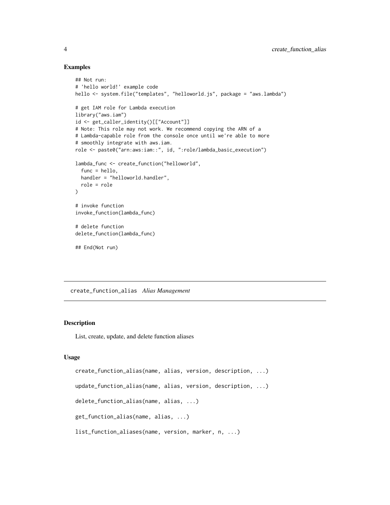#### Examples

```
## Not run:
# 'hello world!' example code
hello <- system.file("templates", "helloworld.js", package = "aws.lambda")
# get IAM role for Lambda execution
library("aws.iam")
id <- get_caller_identity()[["Account"]]
# Note: This role may not work. We recommend copying the ARN of a
# Lambda-capable role from the console once until we're able to more
# smoothly integrate with aws.iam.
role <- paste0("arn:aws:iam::", id, ":role/lambda_basic_execution")
lambda_func <- create_function("helloworld",
  func = hello,
  handler = "helloworld.handler",
  role = role
)
# invoke function
invoke_function(lambda_func)
# delete function
delete_function(lambda_func)
## End(Not run)
```
<span id="page-3-1"></span>create\_function\_alias *Alias Management*

#### Description

List, create, update, and delete function aliases

#### Usage

```
create_function_alias(name, alias, version, description, ...)
update_function_alias(name, alias, version, description, ...)
delete_function_alias(name, alias, ...)
get_function_alias(name, alias, ...)
list_function_aliases(name, version, marker, n, ...)
```
<span id="page-3-0"></span>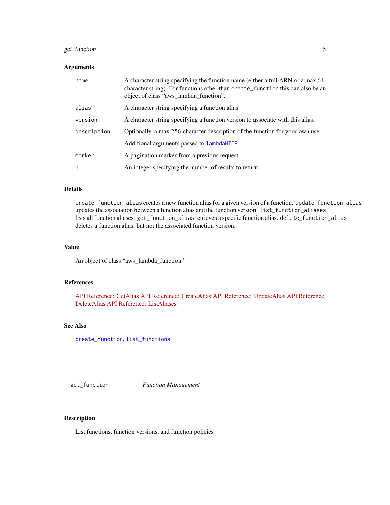# <span id="page-4-0"></span>get\_function 5

#### Arguments

| name        | A character string specifying the function name (either a full ARN or a max 64-<br>character string). For functions other than create_function this can also be an<br>object of class "aws_lambda_function". |
|-------------|--------------------------------------------------------------------------------------------------------------------------------------------------------------------------------------------------------------|
| alias       | A character string specifying a function alias                                                                                                                                                               |
| version     | A character string specifying a function version to associate with this alias.                                                                                                                               |
| description | Optionally, a max 256-character description of the function for your own use.                                                                                                                                |
|             | Additional arguments passed to lambdaHTTP.                                                                                                                                                                   |
| marker      | A pagination marker from a previous request.                                                                                                                                                                 |
| n           | An integer specifying the number of results to return.                                                                                                                                                       |

# Details

create\_function\_alias creates a new function alias for a given version of a function. update\_function\_alias updates the association between a function alias and the function version. list\_function\_aliases lists all function aliases. get\_function\_alias retrieves a specific function alias. delete\_function\_alias deletes a function alias, but not the associated function version.

#### Value

An object of class "aws\_lambda\_function".

#### References

[API Reference: GetAlias](https://docs.aws.amazon.com/lambda/latest/dg/API_GetAlias.html) [API Reference: CreateAlias](https://docs.aws.amazon.com/lambda/latest/dg/API_CreateAlias.html) [API Reference: UpdateAlias](https://docs.aws.amazon.com/lambda/latest/dg/API_UpdateAlias.html) [API Reference:](https://docs.aws.amazon.com/lambda/latest/dg/API_DeleteAlias.html) [DeleteAlias](https://docs.aws.amazon.com/lambda/latest/dg/API_DeleteAlias.html) [API Reference: ListAliases](https://docs.aws.amazon.com/lambda/latest/dg/API_ListAliases.html)

#### See Also

[create\\_function](#page-1-1), [list\\_functions](#page-4-1)

get\_function *Function Management*

#### <span id="page-4-1"></span>Description

List functions, function versions, and function policies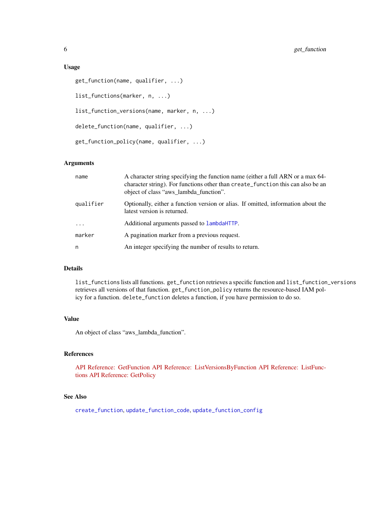#### <span id="page-5-0"></span>Usage

```
get_function(name, qualifier, ...)
list_functions(marker, n, ...)
list_function_versions(name, marker, n, ...)
delete_function(name, qualifier, ...)
get_function_policy(name, qualifier, ...)
```
#### Arguments

| name      | A character string specifying the function name (either a full ARN or a max 64-<br>character string). For functions other than create_function this can also be an<br>object of class "aws_lambda_function". |
|-----------|--------------------------------------------------------------------------------------------------------------------------------------------------------------------------------------------------------------|
| qualifier | Optionally, either a function version or alias. If omitted, information about the<br>latest version is returned.                                                                                             |
| $\ddots$  | Additional arguments passed to LambdaHTTP.                                                                                                                                                                   |
| marker    | A pagination marker from a previous request.                                                                                                                                                                 |
| n         | An integer specifying the number of results to return.                                                                                                                                                       |

# Details

list\_functions lists all functions. get\_function retrieves a specific function and list\_function\_versions retrieves all versions of that function. get\_function\_policy returns the resource-based IAM policy for a function. delete\_function deletes a function, if you have permission to do so.

#### Value

An object of class "aws\_lambda\_function".

# References

[API Reference: GetFunction](https://docs.aws.amazon.com/lambda/latest/dg/API_GetFunction.html) [API Reference: ListVersionsByFunction](https://docs.aws.amazon.com/lambda/latest/dg/API_ListVersionsByFunction.html) [API Reference: ListFunc](https://docs.aws.amazon.com/lambda/latest/dg/API_ListFunctions.html)[tions](https://docs.aws.amazon.com/lambda/latest/dg/API_ListFunctions.html) [API Reference: GetPolicy](https://docs.aws.amazon.com/lambda/latest/dg/API_GetPolicy.html)

# See Also

[create\\_function](#page-1-1), [update\\_function\\_code](#page-1-2), [update\\_function\\_config](#page-1-2)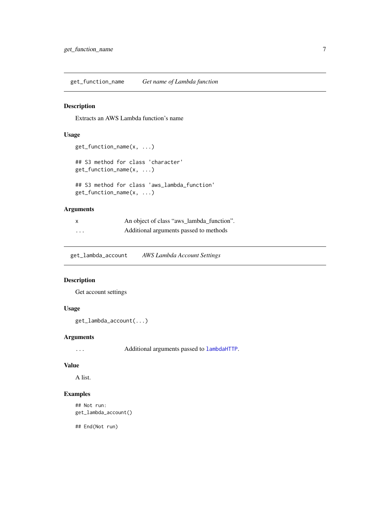<span id="page-6-0"></span>get\_function\_name *Get name of Lambda function*

#### Description

Extracts an AWS Lambda function's name

#### Usage

```
get_function_name(x, ...)
## S3 method for class 'character'
get_function_name(x, ...)
## S3 method for class 'aws_lambda_function'
get_function_name(x, ...)
```
# Arguments

| X        | An object of class "aws_lambda_function". |
|----------|-------------------------------------------|
| $\cdots$ | Additional arguments passed to methods    |

<span id="page-6-1"></span>get\_lambda\_account *AWS Lambda Account Settings*

# Description

Get account settings

# Usage

```
get_lambda_account(...)
```
#### Arguments

... Additional arguments passed to [lambdaHTTP](#page-7-1).

#### Value

A list.

#### Examples

## Not run: get\_lambda\_account()

## End(Not run)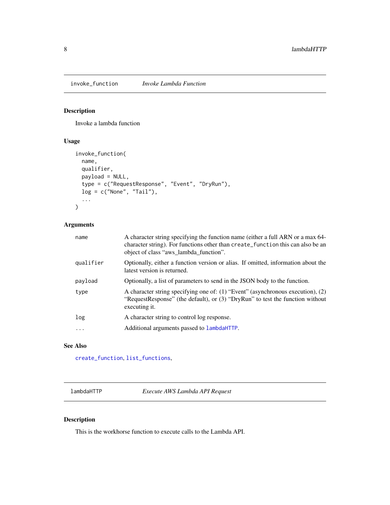<span id="page-7-2"></span><span id="page-7-0"></span>invoke\_function *Invoke Lambda Function*

# Description

Invoke a lambda function

# Usage

```
invoke_function(
  name,
 qualifier,
 payload = NULL,
  type = c("RequestResponse", "Event", "DryRun"),
 log = c("None", "Tail"),...
)
```
# Arguments

| name      | A character string specifying the function name (either a full ARN or a max 64-<br>character string). For functions other than create_function this can also be an<br>object of class "aws_lambda_function". |
|-----------|--------------------------------------------------------------------------------------------------------------------------------------------------------------------------------------------------------------|
| qualifier | Optionally, either a function version or alias. If omitted, information about the<br>latest version is returned.                                                                                             |
| payload   | Optionally, a list of parameters to send in the JSON body to the function.                                                                                                                                   |
| type      | A character string specifying one of: (1) "Event" (asynchronous execution), (2)<br>"RequestResponse" (the default), or (3) "DryRun" to test the function without<br>executing it.                            |
| log       | A character string to control log response.                                                                                                                                                                  |
| $\cdots$  | Additional arguments passed to lambdaHTTP.                                                                                                                                                                   |
|           |                                                                                                                                                                                                              |

#### See Also

[create\\_function](#page-1-1), [list\\_functions](#page-4-1),

<span id="page-7-1"></span>lambdaHTTP *Execute AWS Lambda API Request*

# Description

This is the workhorse function to execute calls to the Lambda API.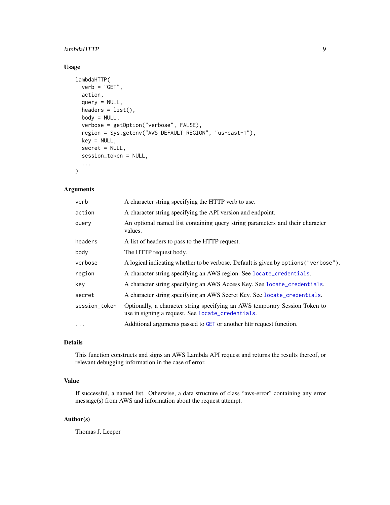# <span id="page-8-0"></span>lambdaHTTP 9

# Usage

```
lambdaHTTP(
  verb = "GET",action,
  query = NULL,
  headers = list(),
  body = NULL,verbose = getOption("verbose", FALSE),
  region = Sys.getenv("AWS_DEFAULT_REGION", "us-east-1"),
  key = NULL,
  secret = NULL,
  session_token = NULL,
  ...
\mathcal{L}
```
# Arguments

| verb          | A character string specifying the HTTP verb to use.                                                                              |
|---------------|----------------------------------------------------------------------------------------------------------------------------------|
| action        | A character string specifying the API version and endpoint.                                                                      |
| query         | An optional named list containing query string parameters and their character<br>values.                                         |
| headers       | A list of headers to pass to the HTTP request.                                                                                   |
| body          | The HTTP request body.                                                                                                           |
| verbose       | A logical indicating whether to be verbose. Default is given by options ("verbose").                                             |
| region        | A character string specifying an AWS region. See locate_credentials.                                                             |
| key           | A character string specifying an AWS Access Key. See locate_credentials.                                                         |
| secret        | A character string specifying an AWS Secret Key. See locate_credentials.                                                         |
| session_token | Optionally, a character string specifying an AWS temporary Session Token to<br>use in signing a request. See locate_credentials. |
| $\ddotsc$     | Additional arguments passed to GET or another httr request function.                                                             |

# Details

This function constructs and signs an AWS Lambda API request and returns the results thereof, or relevant debugging information in the case of error.

# Value

If successful, a named list. Otherwise, a data structure of class "aws-error" containing any error message(s) from AWS and information about the request attempt.

#### Author(s)

Thomas J. Leeper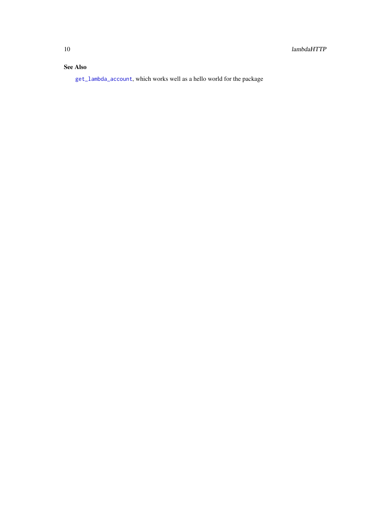# <span id="page-9-0"></span>See Also

[get\\_lambda\\_account](#page-6-1), which works well as a hello world for the package